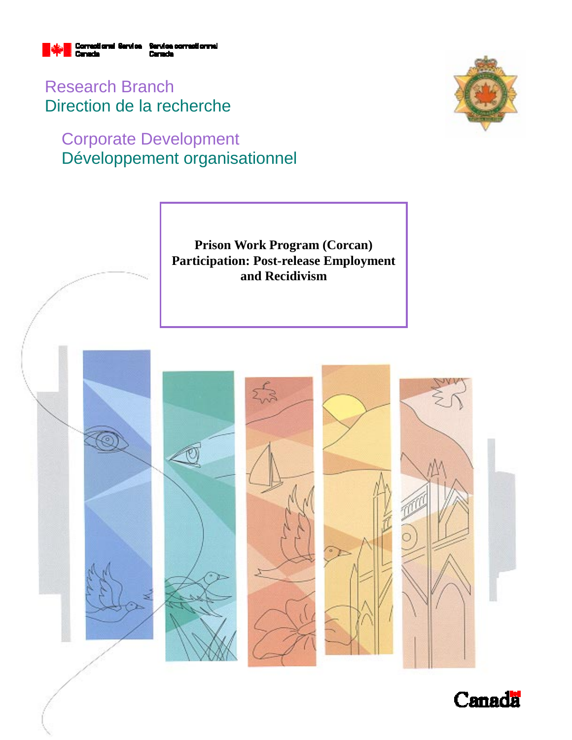

Research Branch Direction de la recherche

# Corporate Development Développement organisationnel





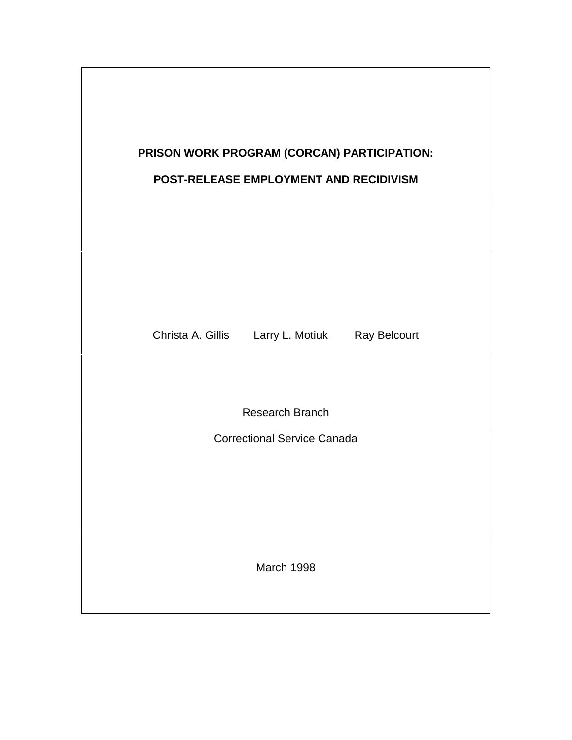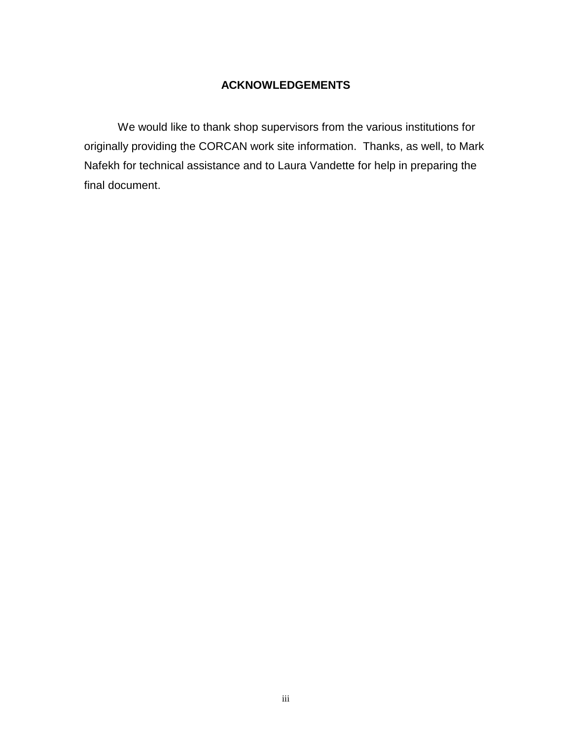# **ACKNOWLEDGEMENTS**

We would like to thank shop supervisors from the various institutions for originally providing the CORCAN work site information. Thanks, as well, to Mark Nafekh for technical assistance and to Laura Vandette for help in preparing the final document.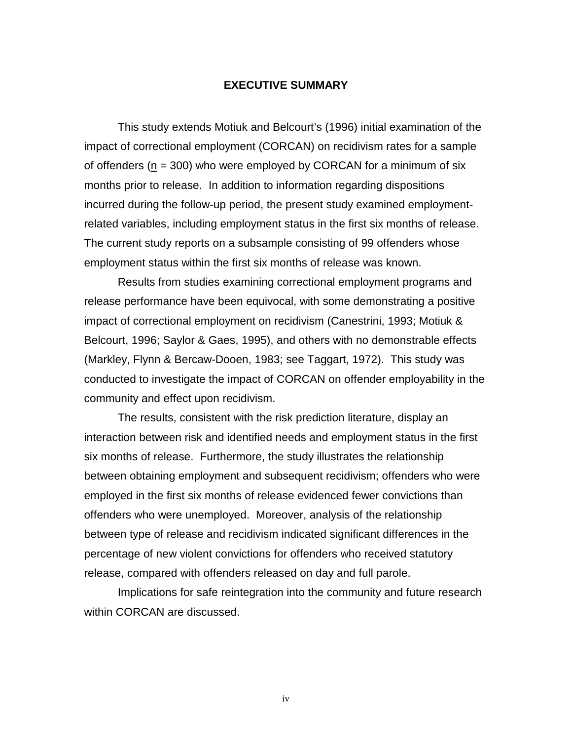#### **EXECUTIVE SUMMARY**

This study extends Motiuk and Belcourt's (1996) initial examination of the impact of correctional employment (CORCAN) on recidivism rates for a sample of offenders ( $n = 300$ ) who were employed by CORCAN for a minimum of six months prior to release. In addition to information regarding dispositions incurred during the follow-up period, the present study examined employmentrelated variables, including employment status in the first six months of release. The current study reports on a subsample consisting of 99 offenders whose employment status within the first six months of release was known.

Results from studies examining correctional employment programs and release performance have been equivocal, with some demonstrating a positive impact of correctional employment on recidivism (Canestrini, 1993; Motiuk & Belcourt, 1996; Saylor & Gaes, 1995), and others with no demonstrable effects (Markley, Flynn & Bercaw-Dooen, 1983; see Taggart, 1972). This study was conducted to investigate the impact of CORCAN on offender employability in the community and effect upon recidivism.

The results, consistent with the risk prediction literature, display an interaction between risk and identified needs and employment status in the first six months of release. Furthermore, the study illustrates the relationship between obtaining employment and subsequent recidivism; offenders who were employed in the first six months of release evidenced fewer convictions than offenders who were unemployed. Moreover, analysis of the relationship between type of release and recidivism indicated significant differences in the percentage of new violent convictions for offenders who received statutory release, compared with offenders released on day and full parole.

Implications for safe reintegration into the community and future research within CORCAN are discussed.

iv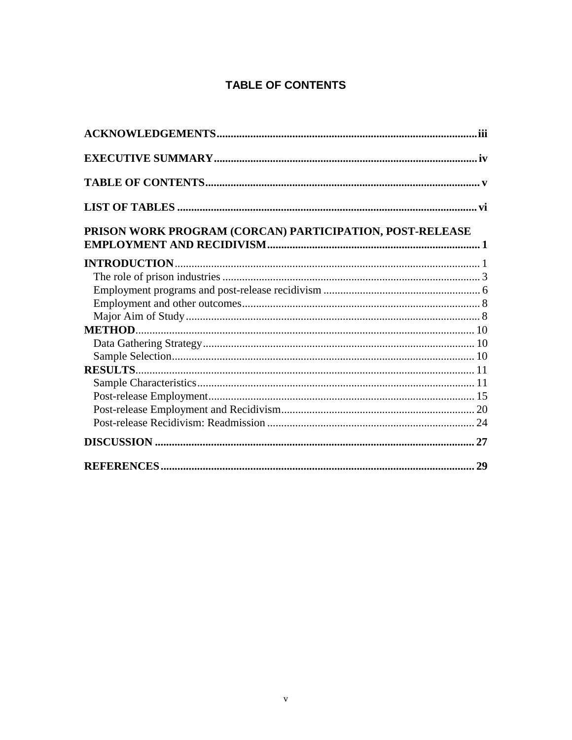# **TABLE OF CONTENTS**

| PRISON WORK PROGRAM (CORCAN) PARTICIPATION, POST-RELEASE |
|----------------------------------------------------------|
|                                                          |
|                                                          |
|                                                          |
|                                                          |
|                                                          |
|                                                          |
|                                                          |
|                                                          |
|                                                          |
|                                                          |
|                                                          |
|                                                          |
|                                                          |
|                                                          |
|                                                          |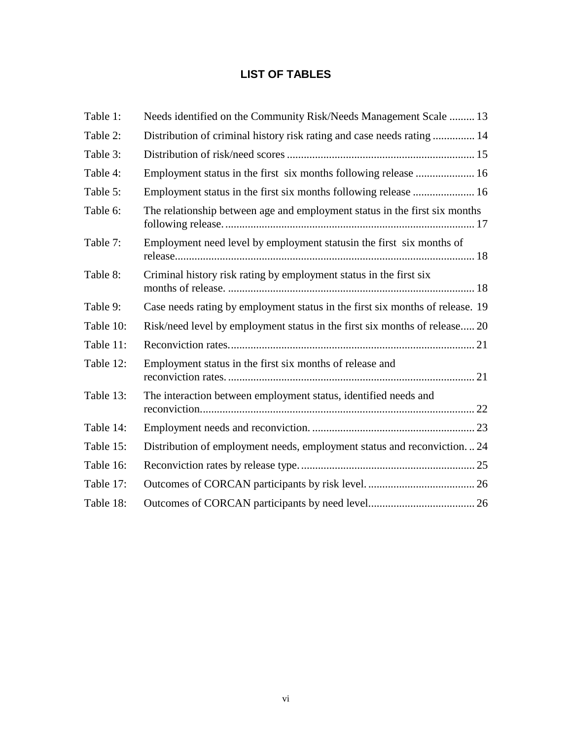# **LIST OF TABLES**

| Table 1:  | Needs identified on the Community Risk/Needs Management Scale  13             |  |
|-----------|-------------------------------------------------------------------------------|--|
| Table 2:  | Distribution of criminal history risk rating and case needs rating  14        |  |
| Table 3:  |                                                                               |  |
| Table 4:  |                                                                               |  |
| Table 5:  | Employment status in the first six months following release  16               |  |
| Table 6:  | The relationship between age and employment status in the first six months    |  |
| Table 7:  | Employment need level by employment statusin the first six months of          |  |
| Table 8:  | Criminal history risk rating by employment status in the first six            |  |
| Table 9:  | Case needs rating by employment status in the first six months of release. 19 |  |
| Table 10: | Risk/need level by employment status in the first six months of release 20    |  |
| Table 11: |                                                                               |  |
| Table 12: | Employment status in the first six months of release and                      |  |
| Table 13: | The interaction between employment status, identified needs and               |  |
| Table 14: |                                                                               |  |
| Table 15: | Distribution of employment needs, employment status and reconviction24        |  |
| Table 16: |                                                                               |  |
| Table 17: |                                                                               |  |
| Table 18: |                                                                               |  |
|           |                                                                               |  |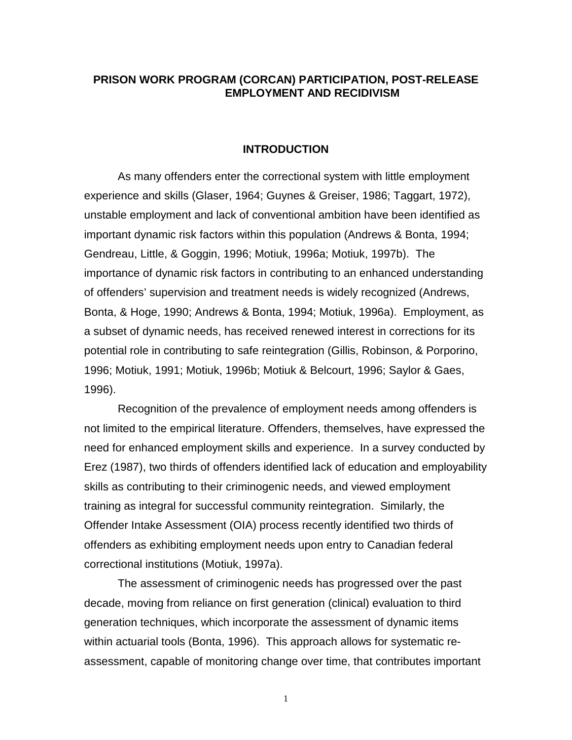## **PRISON WORK PROGRAM (CORCAN) PARTICIPATION, POST-RELEASE EMPLOYMENT AND RECIDIVISM**

#### **INTRODUCTION**

As many offenders enter the correctional system with little employment experience and skills (Glaser, 1964; Guynes & Greiser, 1986; Taggart, 1972), unstable employment and lack of conventional ambition have been identified as important dynamic risk factors within this population (Andrews & Bonta, 1994; Gendreau, Little, & Goggin, 1996; Motiuk, 1996a; Motiuk, 1997b). The importance of dynamic risk factors in contributing to an enhanced understanding of offenders' supervision and treatment needs is widely recognized (Andrews, Bonta, & Hoge, 1990; Andrews & Bonta, 1994; Motiuk, 1996a). Employment, as a subset of dynamic needs, has received renewed interest in corrections for its potential role in contributing to safe reintegration (Gillis, Robinson, & Porporino, 1996; Motiuk, 1991; Motiuk, 1996b; Motiuk & Belcourt, 1996; Saylor & Gaes, 1996).

Recognition of the prevalence of employment needs among offenders is not limited to the empirical literature. Offenders, themselves, have expressed the need for enhanced employment skills and experience. In a survey conducted by Erez (1987), two thirds of offenders identified lack of education and employability skills as contributing to their criminogenic needs, and viewed employment training as integral for successful community reintegration. Similarly, the Offender Intake Assessment (OIA) process recently identified two thirds of offenders as exhibiting employment needs upon entry to Canadian federal correctional institutions (Motiuk, 1997a).

The assessment of criminogenic needs has progressed over the past decade, moving from reliance on first generation (clinical) evaluation to third generation techniques, which incorporate the assessment of dynamic items within actuarial tools (Bonta, 1996). This approach allows for systematic reassessment, capable of monitoring change over time, that contributes important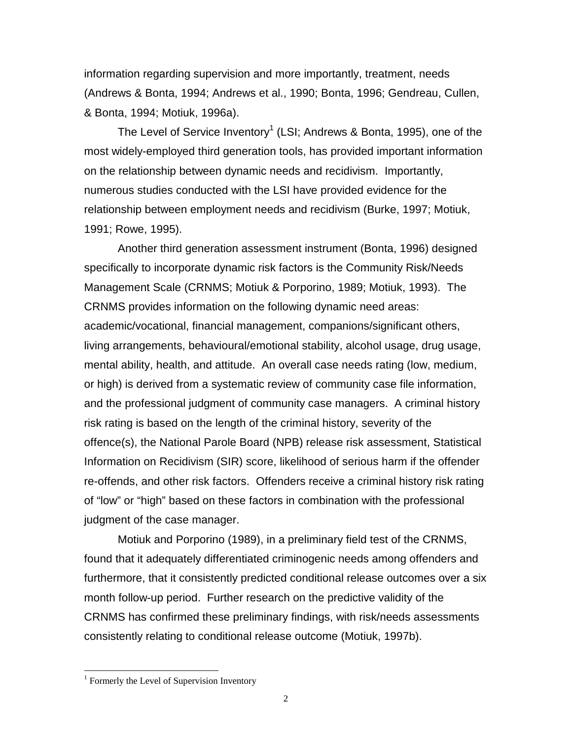information regarding supervision and more importantly, treatment, needs (Andrews & Bonta, 1994; Andrews et al., 1990; Bonta, 1996; Gendreau, Cullen, & Bonta, 1994; Motiuk, 1996a).

The Level of Service Inventory $^1$  (LSI; Andrews & Bonta, 1995), one of the most widely-employed third generation tools, has provided important information on the relationship between dynamic needs and recidivism. Importantly, numerous studies conducted with the LSI have provided evidence for the relationship between employment needs and recidivism (Burke, 1997; Motiuk, 1991; Rowe, 1995).

Another third generation assessment instrument (Bonta, 1996) designed specifically to incorporate dynamic risk factors is the Community Risk/Needs Management Scale (CRNMS; Motiuk & Porporino, 1989; Motiuk, 1993). The CRNMS provides information on the following dynamic need areas: academic/vocational, financial management, companions/significant others, living arrangements, behavioural/emotional stability, alcohol usage, drug usage, mental ability, health, and attitude. An overall case needs rating (low, medium, or high) is derived from a systematic review of community case file information, and the professional judgment of community case managers. A criminal history risk rating is based on the length of the criminal history, severity of the offence(s), the National Parole Board (NPB) release risk assessment, Statistical Information on Recidivism (SIR) score, likelihood of serious harm if the offender re-offends, and other risk factors. Offenders receive a criminal history risk rating of "low" or "high" based on these factors in combination with the professional judgment of the case manager.

Motiuk and Porporino (1989), in a preliminary field test of the CRNMS, found that it adequately differentiated criminogenic needs among offenders and furthermore, that it consistently predicted conditional release outcomes over a six month follow-up period. Further research on the predictive validity of the CRNMS has confirmed these preliminary findings, with risk/needs assessments consistently relating to conditional release outcome (Motiuk, 1997b).

 $\overline{a}$ 

<sup>&</sup>lt;sup>1</sup> Formerly the Level of Supervision Inventory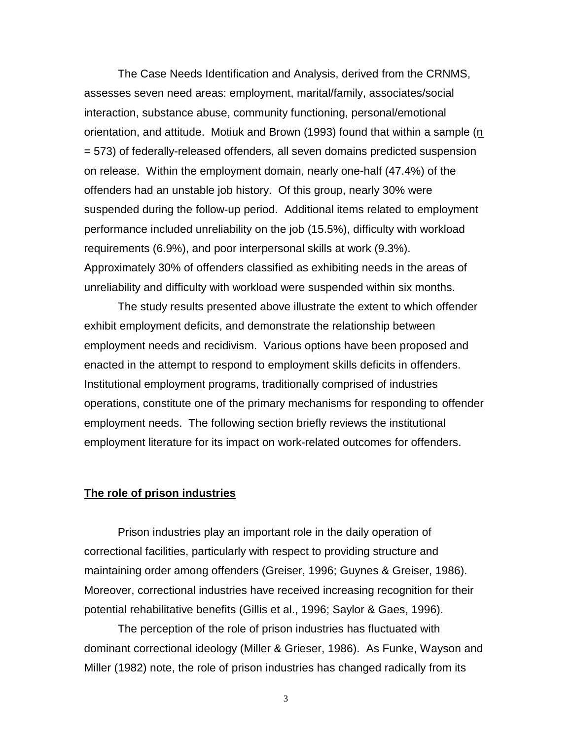The Case Needs Identification and Analysis, derived from the CRNMS, assesses seven need areas: employment, marital/family, associates/social interaction, substance abuse, community functioning, personal/emotional orientation, and attitude. Motiuk and Brown (1993) found that within a sample  $(n)$ = 573) of federally-released offenders, all seven domains predicted suspension on release. Within the employment domain, nearly one-half (47.4%) of the offenders had an unstable job history. Of this group, nearly 30% were suspended during the follow-up period. Additional items related to employment performance included unreliability on the job (15.5%), difficulty with workload requirements (6.9%), and poor interpersonal skills at work (9.3%). Approximately 30% of offenders classified as exhibiting needs in the areas of unreliability and difficulty with workload were suspended within six months.

The study results presented above illustrate the extent to which offender exhibit employment deficits, and demonstrate the relationship between employment needs and recidivism. Various options have been proposed and enacted in the attempt to respond to employment skills deficits in offenders. Institutional employment programs, traditionally comprised of industries operations, constitute one of the primary mechanisms for responding to offender employment needs. The following section briefly reviews the institutional employment literature for its impact on work-related outcomes for offenders.

#### **The role of prison industries**

Prison industries play an important role in the daily operation of correctional facilities, particularly with respect to providing structure and maintaining order among offenders (Greiser, 1996; Guynes & Greiser, 1986). Moreover, correctional industries have received increasing recognition for their potential rehabilitative benefits (Gillis et al., 1996; Saylor & Gaes, 1996).

The perception of the role of prison industries has fluctuated with dominant correctional ideology (Miller & Grieser, 1986). As Funke, Wayson and Miller (1982) note, the role of prison industries has changed radically from its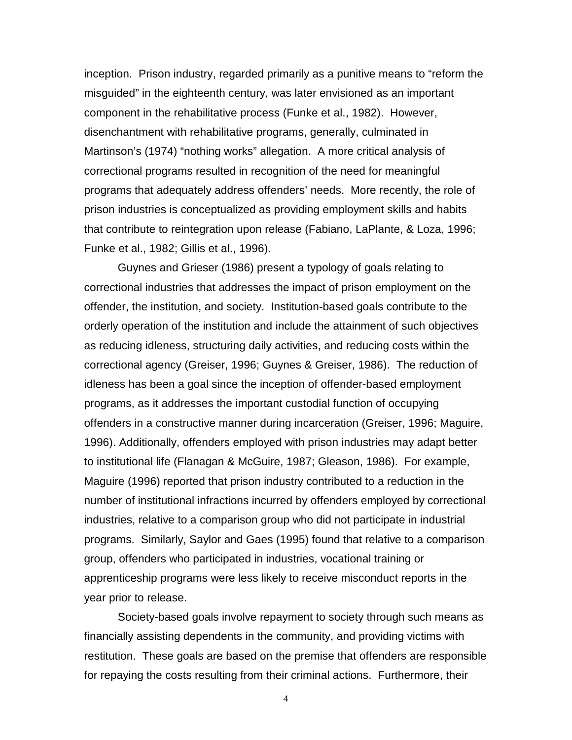inception. Prison industry, regarded primarily as a punitive means to "reform the misguided" in the eighteenth century, was later envisioned as an important component in the rehabilitative process (Funke et al., 1982). However, disenchantment with rehabilitative programs, generally, culminated in Martinson's (1974) "nothing works" allegation. A more critical analysis of correctional programs resulted in recognition of the need for meaningful programs that adequately address offenders' needs. More recently, the role of prison industries is conceptualized as providing employment skills and habits that contribute to reintegration upon release (Fabiano, LaPlante, & Loza, 1996; Funke et al., 1982; Gillis et al., 1996).

Guynes and Grieser (1986) present a typology of goals relating to correctional industries that addresses the impact of prison employment on the offender, the institution, and society. Institution-based goals contribute to the orderly operation of the institution and include the attainment of such objectives as reducing idleness, structuring daily activities, and reducing costs within the correctional agency (Greiser, 1996; Guynes & Greiser, 1986). The reduction of idleness has been a goal since the inception of offender-based employment programs, as it addresses the important custodial function of occupying offenders in a constructive manner during incarceration (Greiser, 1996; Maguire, 1996). Additionally, offenders employed with prison industries may adapt better to institutional life (Flanagan & McGuire, 1987; Gleason, 1986). For example, Maguire (1996) reported that prison industry contributed to a reduction in the number of institutional infractions incurred by offenders employed by correctional industries, relative to a comparison group who did not participate in industrial programs. Similarly, Saylor and Gaes (1995) found that relative to a comparison group, offenders who participated in industries, vocational training or apprenticeship programs were less likely to receive misconduct reports in the year prior to release.

Society-based goals involve repayment to society through such means as financially assisting dependents in the community, and providing victims with restitution. These goals are based on the premise that offenders are responsible for repaying the costs resulting from their criminal actions. Furthermore, their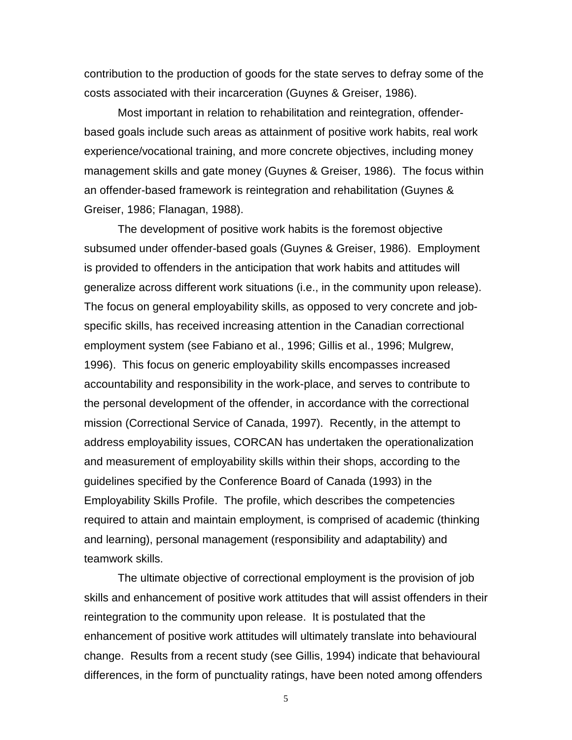contribution to the production of goods for the state serves to defray some of the costs associated with their incarceration (Guynes & Greiser, 1986).

Most important in relation to rehabilitation and reintegration, offenderbased goals include such areas as attainment of positive work habits, real work experience/vocational training, and more concrete objectives, including money management skills and gate money (Guynes & Greiser, 1986). The focus within an offender-based framework is reintegration and rehabilitation (Guynes & Greiser, 1986; Flanagan, 1988).

The development of positive work habits is the foremost objective subsumed under offender-based goals (Guynes & Greiser, 1986). Employment is provided to offenders in the anticipation that work habits and attitudes will generalize across different work situations (i.e., in the community upon release). The focus on general employability skills, as opposed to very concrete and jobspecific skills, has received increasing attention in the Canadian correctional employment system (see Fabiano et al., 1996; Gillis et al., 1996; Mulgrew, 1996). This focus on generic employability skills encompasses increased accountability and responsibility in the work-place, and serves to contribute to the personal development of the offender, in accordance with the correctional mission (Correctional Service of Canada, 1997). Recently, in the attempt to address employability issues, CORCAN has undertaken the operationalization and measurement of employability skills within their shops, according to the guidelines specified by the Conference Board of Canada (1993) in the Employability Skills Profile. The profile, which describes the competencies required to attain and maintain employment, is comprised of academic (thinking and learning), personal management (responsibility and adaptability) and teamwork skills.

The ultimate objective of correctional employment is the provision of job skills and enhancement of positive work attitudes that will assist offenders in their reintegration to the community upon release. It is postulated that the enhancement of positive work attitudes will ultimately translate into behavioural change. Results from a recent study (see Gillis, 1994) indicate that behavioural differences, in the form of punctuality ratings, have been noted among offenders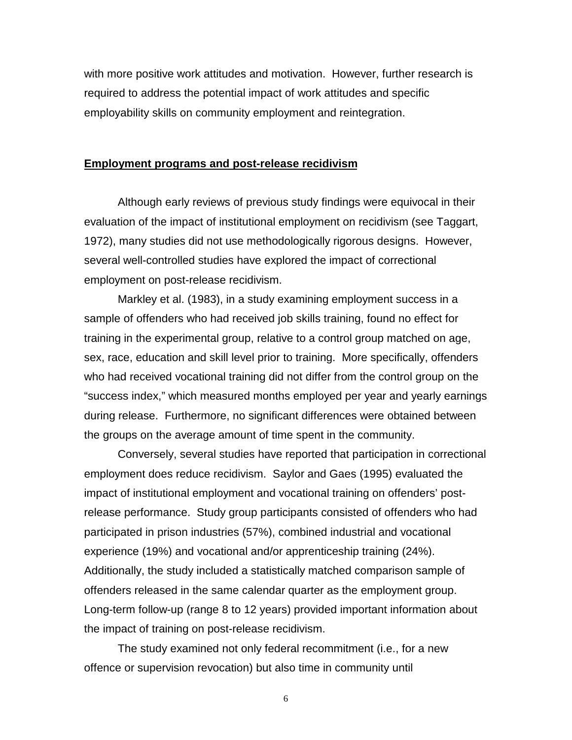with more positive work attitudes and motivation. However, further research is required to address the potential impact of work attitudes and specific employability skills on community employment and reintegration.

#### **Employment programs and post-release recidivism**

Although early reviews of previous study findings were equivocal in their evaluation of the impact of institutional employment on recidivism (see Taggart, 1972), many studies did not use methodologically rigorous designs. However, several well-controlled studies have explored the impact of correctional employment on post-release recidivism.

Markley et al. (1983), in a study examining employment success in a sample of offenders who had received job skills training, found no effect for training in the experimental group, relative to a control group matched on age, sex, race, education and skill level prior to training. More specifically, offenders who had received vocational training did not differ from the control group on the "success index," which measured months employed per year and yearly earnings during release. Furthermore, no significant differences were obtained between the groups on the average amount of time spent in the community.

Conversely, several studies have reported that participation in correctional employment does reduce recidivism. Saylor and Gaes (1995) evaluated the impact of institutional employment and vocational training on offenders' postrelease performance. Study group participants consisted of offenders who had participated in prison industries (57%), combined industrial and vocational experience (19%) and vocational and/or apprenticeship training (24%). Additionally, the study included a statistically matched comparison sample of offenders released in the same calendar quarter as the employment group. Long-term follow-up (range 8 to 12 years) provided important information about the impact of training on post-release recidivism.

The study examined not only federal recommitment (i.e., for a new offence or supervision revocation) but also time in community until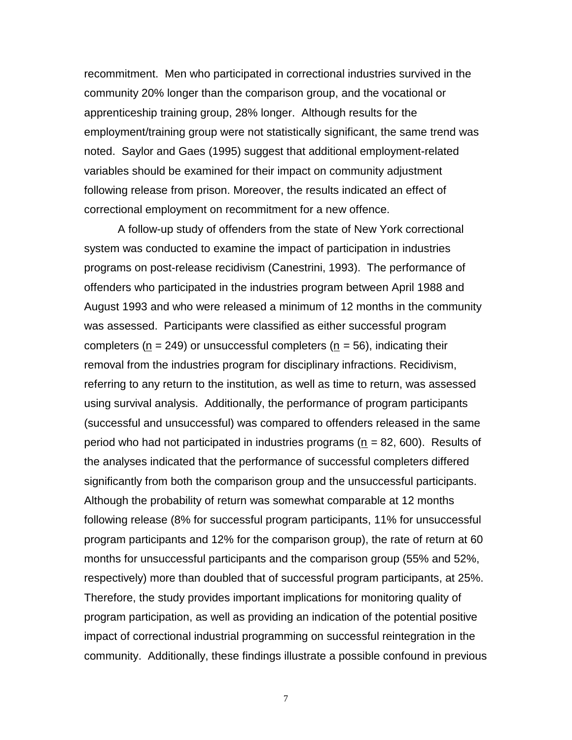recommitment. Men who participated in correctional industries survived in the community 20% longer than the comparison group, and the vocational or apprenticeship training group, 28% longer. Although results for the employment/training group were not statistically significant, the same trend was noted. Saylor and Gaes (1995) suggest that additional employment-related variables should be examined for their impact on community adjustment following release from prison. Moreover, the results indicated an effect of correctional employment on recommitment for a new offence.

A follow-up study of offenders from the state of New York correctional system was conducted to examine the impact of participation in industries programs on post-release recidivism (Canestrini, 1993). The performance of offenders who participated in the industries program between April 1988 and August 1993 and who were released a minimum of 12 months in the community was assessed. Participants were classified as either successful program completers ( $n = 249$ ) or unsuccessful completers ( $n = 56$ ), indicating their removal from the industries program for disciplinary infractions. Recidivism, referring to any return to the institution, as well as time to return, was assessed using survival analysis. Additionally, the performance of program participants (successful and unsuccessful) was compared to offenders released in the same period who had not participated in industries programs ( $n = 82,600$ ). Results of the analyses indicated that the performance of successful completers differed significantly from both the comparison group and the unsuccessful participants. Although the probability of return was somewhat comparable at 12 months following release (8% for successful program participants, 11% for unsuccessful program participants and 12% for the comparison group), the rate of return at 60 months for unsuccessful participants and the comparison group (55% and 52%, respectively) more than doubled that of successful program participants, at 25%. Therefore, the study provides important implications for monitoring quality of program participation, as well as providing an indication of the potential positive impact of correctional industrial programming on successful reintegration in the community. Additionally, these findings illustrate a possible confound in previous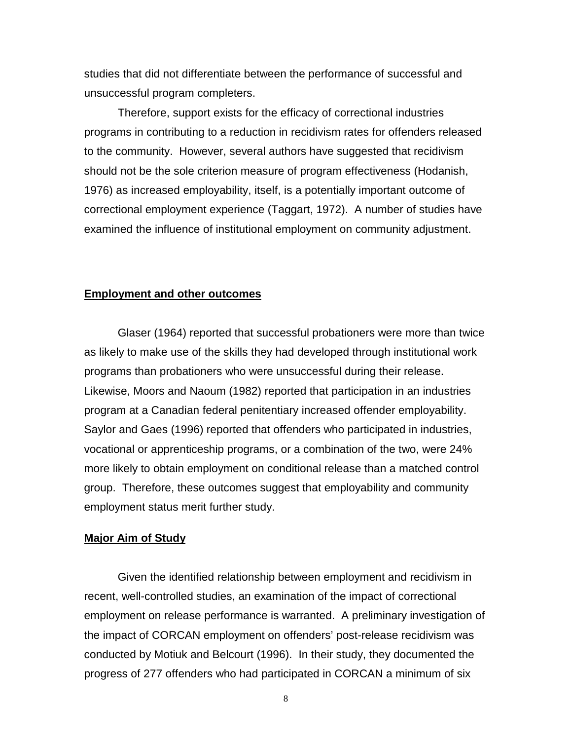studies that did not differentiate between the performance of successful and unsuccessful program completers.

Therefore, support exists for the efficacy of correctional industries programs in contributing to a reduction in recidivism rates for offenders released to the community. However, several authors have suggested that recidivism should not be the sole criterion measure of program effectiveness (Hodanish, 1976) as increased employability, itself, is a potentially important outcome of correctional employment experience (Taggart, 1972). A number of studies have examined the influence of institutional employment on community adjustment.

#### **Employment and other outcomes**

Glaser (1964) reported that successful probationers were more than twice as likely to make use of the skills they had developed through institutional work programs than probationers who were unsuccessful during their release. Likewise, Moors and Naoum (1982) reported that participation in an industries program at a Canadian federal penitentiary increased offender employability. Saylor and Gaes (1996) reported that offenders who participated in industries, vocational or apprenticeship programs, or a combination of the two, were 24% more likely to obtain employment on conditional release than a matched control group. Therefore, these outcomes suggest that employability and community employment status merit further study.

#### **Major Aim of Study**

Given the identified relationship between employment and recidivism in recent, well-controlled studies, an examination of the impact of correctional employment on release performance is warranted. A preliminary investigation of the impact of CORCAN employment on offenders' post-release recidivism was conducted by Motiuk and Belcourt (1996). In their study, they documented the progress of 277 offenders who had participated in CORCAN a minimum of six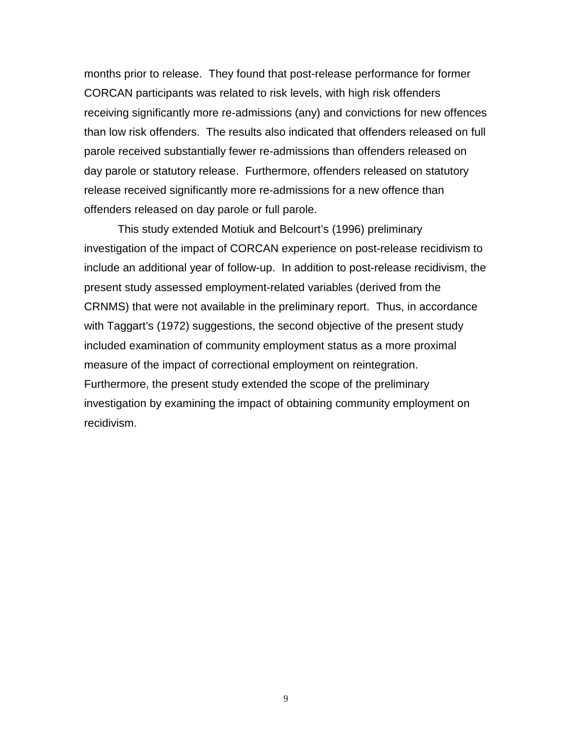months prior to release. They found that post-release performance for former CORCAN participants was related to risk levels, with high risk offenders receiving significantly more re-admissions (any) and convictions for new offences than low risk offenders. The results also indicated that offenders released on full parole received substantially fewer re-admissions than offenders released on day parole or statutory release. Furthermore, offenders released on statutory release received significantly more re-admissions for a new offence than offenders released on day parole or full parole.

This study extended Motiuk and Belcourt's (1996) preliminary investigation of the impact of CORCAN experience on post-release recidivism to include an additional year of follow-up. In addition to post-release recidivism, the present study assessed employment-related variables (derived from the CRNMS) that were not available in the preliminary report. Thus, in accordance with Taggart's (1972) suggestions, the second objective of the present study included examination of community employment status as a more proximal measure of the impact of correctional employment on reintegration. Furthermore, the present study extended the scope of the preliminary investigation by examining the impact of obtaining community employment on recidivism.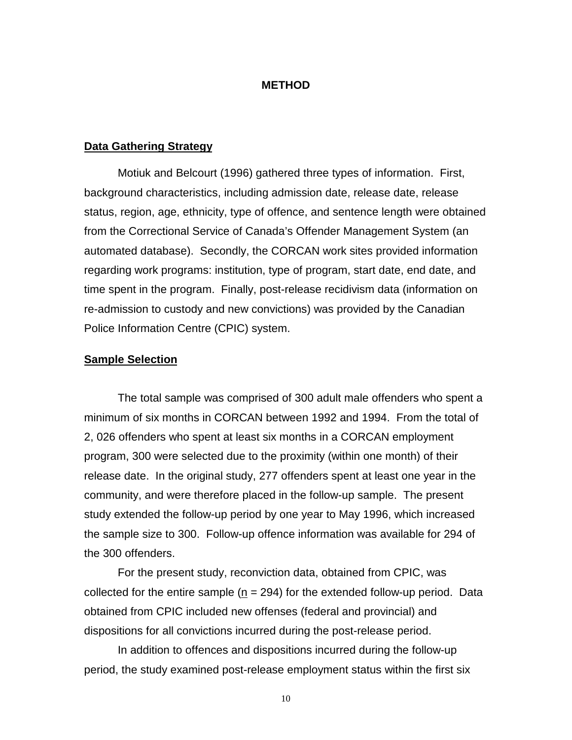#### **METHOD**

#### **Data Gathering Strategy**

Motiuk and Belcourt (1996) gathered three types of information. First, background characteristics, including admission date, release date, release status, region, age, ethnicity, type of offence, and sentence length were obtained from the Correctional Service of Canada's Offender Management System (an automated database). Secondly, the CORCAN work sites provided information regarding work programs: institution, type of program, start date, end date, and time spent in the program. Finally, post-release recidivism data (information on re-admission to custody and new convictions) was provided by the Canadian Police Information Centre (CPIC) system.

#### **Sample Selection**

The total sample was comprised of 300 adult male offenders who spent a minimum of six months in CORCAN between 1992 and 1994. From the total of 2, 026 offenders who spent at least six months in a CORCAN employment program, 300 were selected due to the proximity (within one month) of their release date. In the original study, 277 offenders spent at least one year in the community, and were therefore placed in the follow-up sample. The present study extended the follow-up period by one year to May 1996, which increased the sample size to 300. Follow-up offence information was available for 294 of the 300 offenders.

For the present study, reconviction data, obtained from CPIC, was collected for the entire sample ( $n = 294$ ) for the extended follow-up period. Data obtained from CPIC included new offenses (federal and provincial) and dispositions for all convictions incurred during the post-release period.

In addition to offences and dispositions incurred during the follow-up period, the study examined post-release employment status within the first six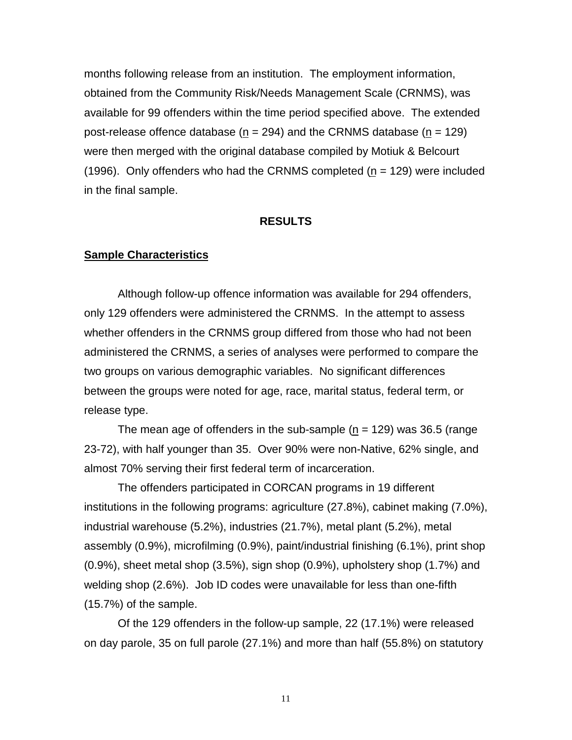months following release from an institution. The employment information, obtained from the Community Risk/Needs Management Scale (CRNMS), was available for 99 offenders within the time period specified above. The extended post-release offence database ( $n = 294$ ) and the CRNMS database ( $n = 129$ ) were then merged with the original database compiled by Motiuk & Belcourt  $(1996)$ . Only offenders who had the CRNMS completed  $(n = 129)$  were included in the final sample.

#### **RESULTS**

#### **Sample Characteristics**

Although follow-up offence information was available for 294 offenders, only 129 offenders were administered the CRNMS. In the attempt to assess whether offenders in the CRNMS group differed from those who had not been administered the CRNMS, a series of analyses were performed to compare the two groups on various demographic variables. No significant differences between the groups were noted for age, race, marital status, federal term, or release type.

The mean age of offenders in the sub-sample ( $n = 129$ ) was 36.5 (range 23-72), with half younger than 35. Over 90% were non-Native, 62% single, and almost 70% serving their first federal term of incarceration.

The offenders participated in CORCAN programs in 19 different institutions in the following programs: agriculture (27.8%), cabinet making (7.0%), industrial warehouse (5.2%), industries (21.7%), metal plant (5.2%), metal assembly (0.9%), microfilming (0.9%), paint/industrial finishing (6.1%), print shop (0.9%), sheet metal shop (3.5%), sign shop (0.9%), upholstery shop (1.7%) and welding shop (2.6%). Job ID codes were unavailable for less than one-fifth (15.7%) of the sample.

Of the 129 offenders in the follow-up sample, 22 (17.1%) were released on day parole, 35 on full parole (27.1%) and more than half (55.8%) on statutory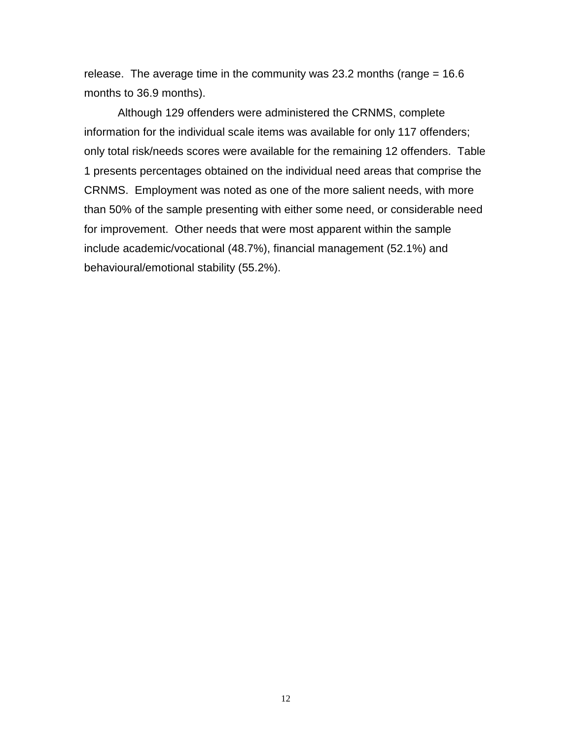release. The average time in the community was 23.2 months (range  $= 16.6$ ) months to 36.9 months).

Although 129 offenders were administered the CRNMS, complete information for the individual scale items was available for only 117 offenders; only total risk/needs scores were available for the remaining 12 offenders. Table 1 presents percentages obtained on the individual need areas that comprise the CRNMS. Employment was noted as one of the more salient needs, with more than 50% of the sample presenting with either some need, or considerable need for improvement. Other needs that were most apparent within the sample include academic/vocational (48.7%), financial management (52.1%) and behavioural/emotional stability (55.2%).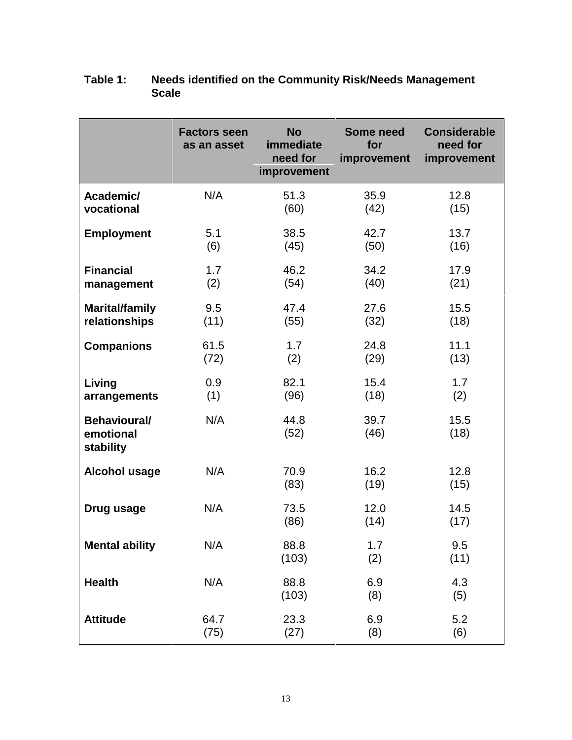|                                               | <b>Factors seen</b><br>as an asset | <b>No</b><br>immediate<br>need for<br>improvement | Some need<br>for<br>improvement | <b>Considerable</b><br>need for<br>improvement |
|-----------------------------------------------|------------------------------------|---------------------------------------------------|---------------------------------|------------------------------------------------|
| Academic/                                     | N/A                                | 51.3                                              | 35.9                            | 12.8                                           |
| vocational                                    |                                    | (60)                                              | (42)                            | (15)                                           |
| <b>Employment</b>                             | 5.1                                | 38.5                                              | 42.7                            | 13.7                                           |
|                                               | (6)                                | (45)                                              | (50)                            | (16)                                           |
| <b>Financial</b>                              | 1.7                                | 46.2                                              | 34.2                            | 17.9                                           |
| management                                    | (2)                                | (54)                                              | (40)                            | (21)                                           |
| <b>Marital/family</b>                         | 9.5                                | 47.4                                              | 27.6                            | 15.5                                           |
| relationships                                 | (11)                               | (55)                                              | (32)                            | (18)                                           |
| <b>Companions</b>                             | 61.5                               | 1.7                                               | 24.8                            | 11.1                                           |
|                                               | (72)                               | (2)                                               | (29)                            | (13)                                           |
| Living                                        | 0.9                                | 82.1                                              | 15.4                            | 1.7                                            |
| arrangements                                  | (1)                                | (96)                                              | (18)                            | (2)                                            |
| <b>Behavioural/</b><br>emotional<br>stability | N/A                                | 44.8<br>(52)                                      | 39.7<br>(46)                    | 15.5<br>(18)                                   |
| <b>Alcohol usage</b>                          | N/A                                | 70.9<br>(83)                                      | 16.2<br>(19)                    | 12.8<br>(15)                                   |
| Drug usage                                    | N/A                                | 73.5<br>(86)                                      | 12.0<br>(14)                    | 14.5<br>(17)                                   |
| <b>Mental ability</b>                         | N/A                                | 88.8<br>(103)                                     | 1.7<br>(2)                      | 9.5<br>(11)                                    |
| <b>Health</b>                                 | N/A                                | 88.8<br>(103)                                     | 6.9<br>(8)                      | 4.3<br>(5)                                     |
| <b>Attitude</b>                               | 64.7                               | 23.3                                              | 6.9                             | 5.2                                            |
|                                               | (75)                               | (27)                                              | (8)                             | (6)                                            |

# **Table 1: Needs identified on the Community Risk/Needs Management Scale**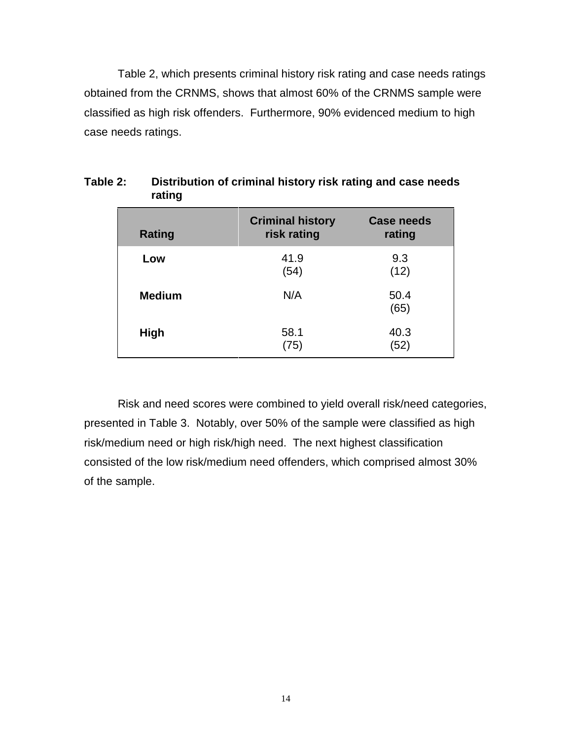Table 2, which presents criminal history risk rating and case needs ratings obtained from the CRNMS, shows that almost 60% of the CRNMS sample were classified as high risk offenders. Furthermore, 90% evidenced medium to high case needs ratings.

| Rating        | <b>Criminal history</b><br>risk rating | <b>Case needs</b><br>rating |
|---------------|----------------------------------------|-----------------------------|
| Low           | 41.9<br>(54)                           | 9.3<br>(12)                 |
| <b>Medium</b> | N/A                                    | 50.4<br>(65)                |
| High          | 58.1<br>(75)                           | 40.3<br>(52)                |

**Table 2: Distribution of criminal history risk rating and case needs rating**

Risk and need scores were combined to yield overall risk/need categories, presented in Table 3. Notably, over 50% of the sample were classified as high risk/medium need or high risk/high need. The next highest classification consisted of the low risk/medium need offenders, which comprised almost 30% of the sample.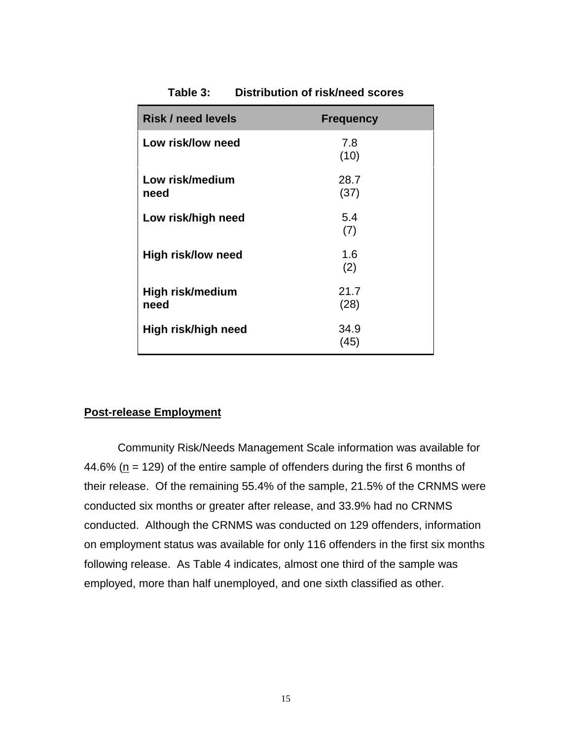| <b>Risk / need levels</b> | <b>Frequency</b> |
|---------------------------|------------------|
| Low risk/low need         | 7.8<br>(10)      |
| Low risk/medium<br>need   | 28.7<br>(37)     |
| Low risk/high need        | 5.4<br>(7)       |
| High risk/low need        | 1.6<br>(2)       |
| High risk/medium<br>need  | 21.7<br>(28)     |
| High risk/high need       | 34.9<br>(45)     |

**Table 3: Distribution of risk/need scores**

#### **Post-release Employment**

Community Risk/Needs Management Scale information was available for 44.6% ( $n = 129$ ) of the entire sample of offenders during the first 6 months of their release. Of the remaining 55.4% of the sample, 21.5% of the CRNMS were conducted six months or greater after release, and 33.9% had no CRNMS conducted. Although the CRNMS was conducted on 129 offenders, information on employment status was available for only 116 offenders in the first six months following release. As Table 4 indicates, almost one third of the sample was employed, more than half unemployed, and one sixth classified as other.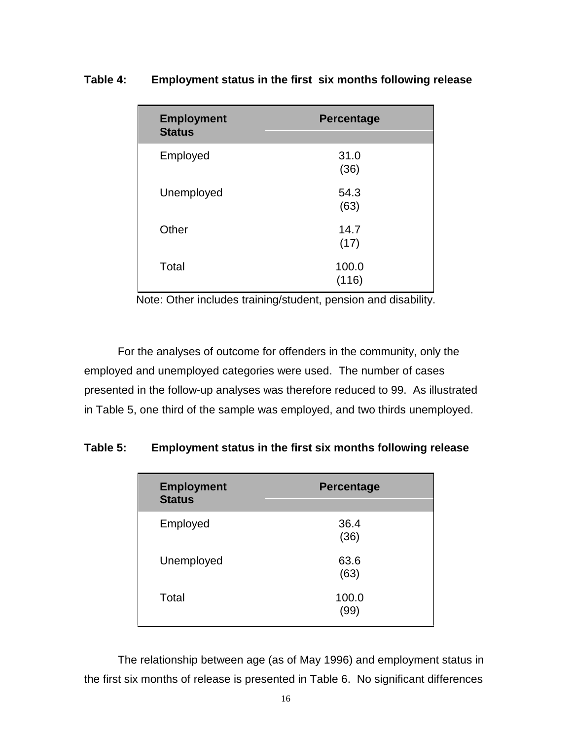| <b>Employment</b><br><b>Status</b> | <b>Percentage</b> |
|------------------------------------|-------------------|
| Employed                           | 31.0<br>(36)      |
| Unemployed                         | 54.3<br>(63)      |
| Other                              | 14.7<br>(17)      |
| Total                              | 100.0<br>(116)    |

### **Table 4: Employment status in the first six months following release**

Note: Other includes training/student, pension and disability.

For the analyses of outcome for offenders in the community, only the employed and unemployed categories were used. The number of cases presented in the follow-up analyses was therefore reduced to 99. As illustrated in Table 5, one third of the sample was employed, and two thirds unemployed.

# **Table 5: Employment status in the first six months following release**

| <b>Employment</b><br><b>Status</b> | <b>Percentage</b> |
|------------------------------------|-------------------|
| Employed                           | 36.4<br>(36)      |
| Unemployed                         | 63.6<br>(63)      |
| Total                              | 100.0<br>(99)     |

The relationship between age (as of May 1996) and employment status in the first six months of release is presented in Table 6. No significant differences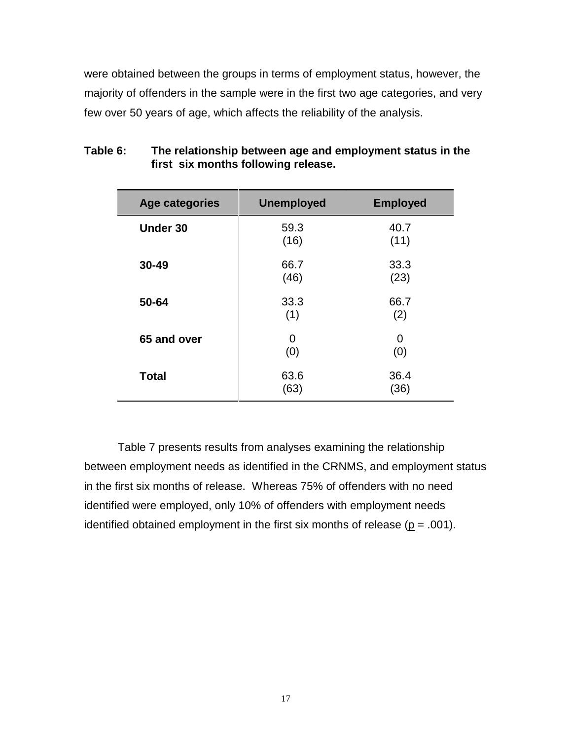were obtained between the groups in terms of employment status, however, the majority of offenders in the sample were in the first two age categories, and very few over 50 years of age, which affects the reliability of the analysis.

| <b>Age categories</b> | <b>Unemployed</b> | <b>Employed</b> |
|-----------------------|-------------------|-----------------|
| <b>Under 30</b>       | 59.3<br>(16)      | 40.7<br>(11)    |
| 30-49                 | 66.7<br>(46)      | 33.3<br>(23)    |
| 50-64                 | 33.3<br>(1)       | 66.7<br>(2)     |
| 65 and over           | 0<br>(0)          | 0<br>(0)        |
| <b>Total</b>          | 63.6<br>(63)      | 36.4<br>(36)    |

# **Table 6: The relationship between age and employment status in the first six months following release.**

Table 7 presents results from analyses examining the relationship between employment needs as identified in the CRNMS, and employment status in the first six months of release. Whereas 75% of offenders with no need identified were employed, only 10% of offenders with employment needs identified obtained employment in the first six months of release ( $p = .001$ ).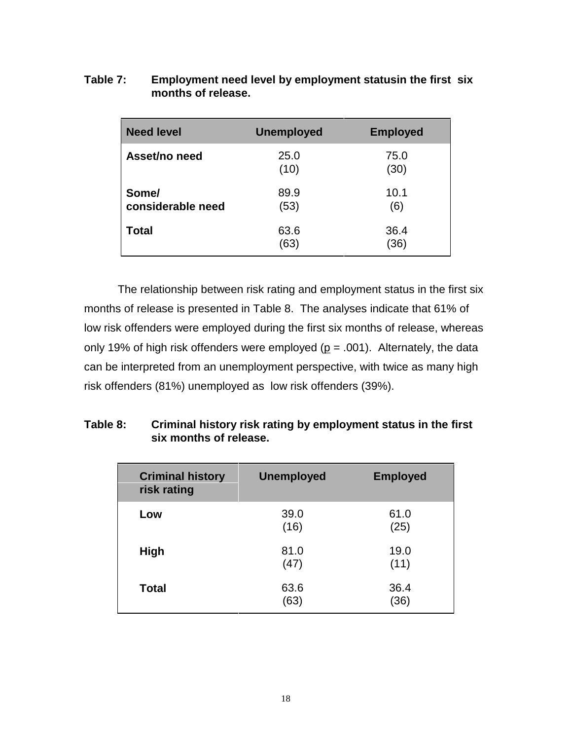| Table 7: | Employment need level by employment statusin the first six |
|----------|------------------------------------------------------------|
|          | months of release.                                         |

| <b>Need level</b>          | <b>Unemployed</b> | <b>Employed</b> |
|----------------------------|-------------------|-----------------|
| Asset/no need              | 25.0<br>(10)      | 75.0<br>(30)    |
| Some/<br>considerable need | 89.9<br>(53)      | 10.1<br>(6)     |
| Total                      | 63.6<br>(63)      | 36.4<br>(36)    |

The relationship between risk rating and employment status in the first six months of release is presented in Table 8. The analyses indicate that 61% of low risk offenders were employed during the first six months of release, whereas only 19% of high risk offenders were employed ( $p = .001$ ). Alternately, the data can be interpreted from an unemployment perspective, with twice as many high risk offenders (81%) unemployed as low risk offenders (39%).

# **Table 8: Criminal history risk rating by employment status in the first six months of release.**

| <b>Criminal history</b><br>risk rating | <b>Unemployed</b> | <b>Employed</b> |
|----------------------------------------|-------------------|-----------------|
| Low                                    | 39.0<br>(16)      | 61.0<br>(25)    |
| <b>High</b>                            | 81.0<br>(47)      | 19.0<br>(11)    |
| <b>Total</b>                           | 63.6<br>(63)      | 36.4<br>(36)    |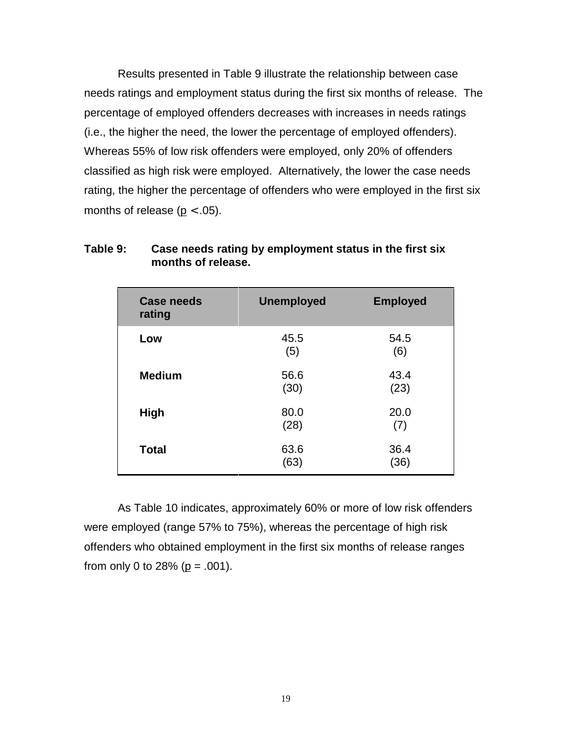Results presented in Table 9 illustrate the relationship between case needs ratings and employment status during the first six months of release. The percentage of employed offenders decreases with increases in needs ratings (i.e., the higher the need, the lower the percentage of employed offenders). Whereas 55% of low risk offenders were employed, only 20% of offenders classified as high risk were employed. Alternatively, the lower the case needs rating, the higher the percentage of offenders who were employed in the first six months of release ( $p < .05$ ).

| <b>Case needs</b><br>rating | <b>Unemployed</b> | <b>Employed</b> |
|-----------------------------|-------------------|-----------------|
| Low                         | 45.5<br>(5)       | 54.5<br>(6)     |
| <b>Medium</b>               | 56.6<br>(30)      | 43.4<br>(23)    |
| High                        | 80.0<br>(28)      | 20.0<br>(7)     |
| <b>Total</b>                | 63.6<br>(63)      | 36.4<br>(36)    |

## **Table 9: Case needs rating by employment status in the first six months of release.**

As Table 10 indicates, approximately 60% or more of low risk offenders were employed (range 57% to 75%), whereas the percentage of high risk offenders who obtained employment in the first six months of release ranges from only 0 to 28% ( $p = .001$ ).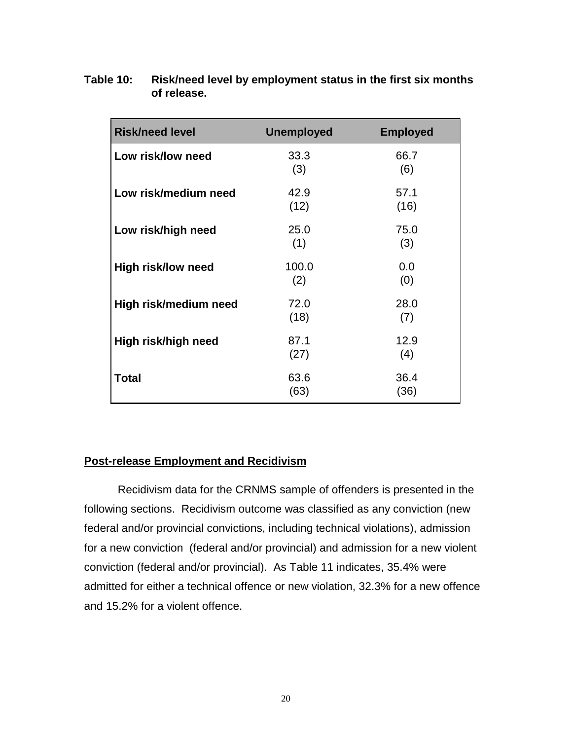| <b>Risk/need level</b> | <b>Unemployed</b> | <b>Employed</b> |
|------------------------|-------------------|-----------------|
| Low risk/low need      | 33.3<br>(3)       | 66.7<br>(6)     |
| Low risk/medium need   | 42.9<br>(12)      | 57.1<br>(16)    |
| Low risk/high need     | 25.0<br>(1)       | 75.0<br>(3)     |
| High risk/low need     | 100.0<br>(2)      | 0.0<br>(0)      |
| High risk/medium need  | 72.0<br>(18)      | 28.0<br>(7)     |
| High risk/high need    | 87.1<br>(27)      | 12.9<br>(4)     |
| <b>Total</b>           | 63.6<br>(63)      | 36.4<br>(36)    |

**Table 10: Risk/need level by employment status in the first six months of release.**

# **Post-release Employment and Recidivism**

Recidivism data for the CRNMS sample of offenders is presented in the following sections. Recidivism outcome was classified as any conviction (new federal and/or provincial convictions, including technical violations), admission for a new conviction (federal and/or provincial) and admission for a new violent conviction (federal and/or provincial). As Table 11 indicates, 35.4% were admitted for either a technical offence or new violation, 32.3% for a new offence and 15.2% for a violent offence.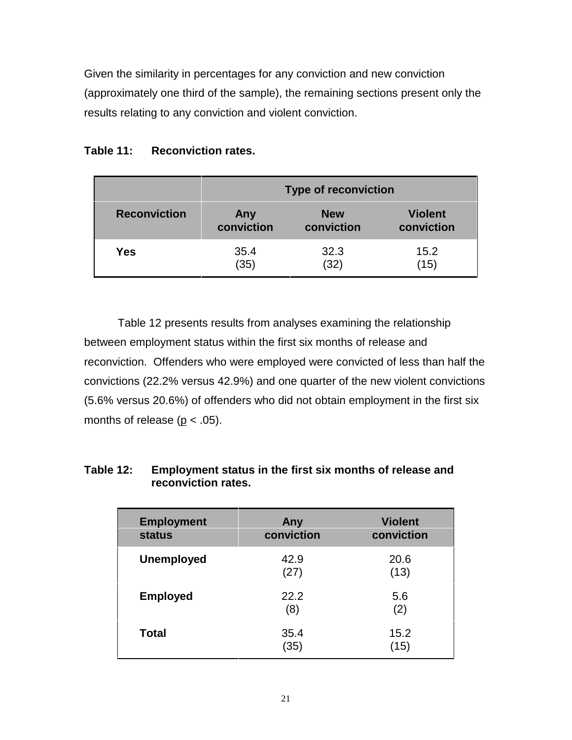Given the similarity in percentages for any conviction and new conviction (approximately one third of the sample), the remaining sections present only the results relating to any conviction and violent conviction.

|                     | <b>Type of reconviction</b> |            |                |
|---------------------|-----------------------------|------------|----------------|
| <b>Reconviction</b> | Any                         | <b>New</b> | <b>Violent</b> |
|                     | conviction                  | conviction | conviction     |
| Yes                 | 35.4                        | 32.3       | 15.2           |
|                     | (35)                        | (32)       | (15)           |

# **Table 11: Reconviction rates.**

Table 12 presents results from analyses examining the relationship between employment status within the first six months of release and reconviction. Offenders who were employed were convicted of less than half the convictions (22.2% versus 42.9%) and one quarter of the new violent convictions (5.6% versus 20.6%) of offenders who did not obtain employment in the first six months of release ( $p < .05$ ).

| <b>Employment</b><br><b>status</b> | Any<br>conviction | <b>Violent</b><br>conviction |
|------------------------------------|-------------------|------------------------------|
| <b>Unemployed</b>                  | 42.9<br>(27)      | 20.6<br>(13)                 |
| <b>Employed</b>                    | 22.2<br>(8)       | 5.6<br>(2)                   |
| <b>Total</b>                       | 35.4<br>(35)      | 15.2<br>(15)                 |

### **Table 12: Employment status in the first six months of release and reconviction rates.**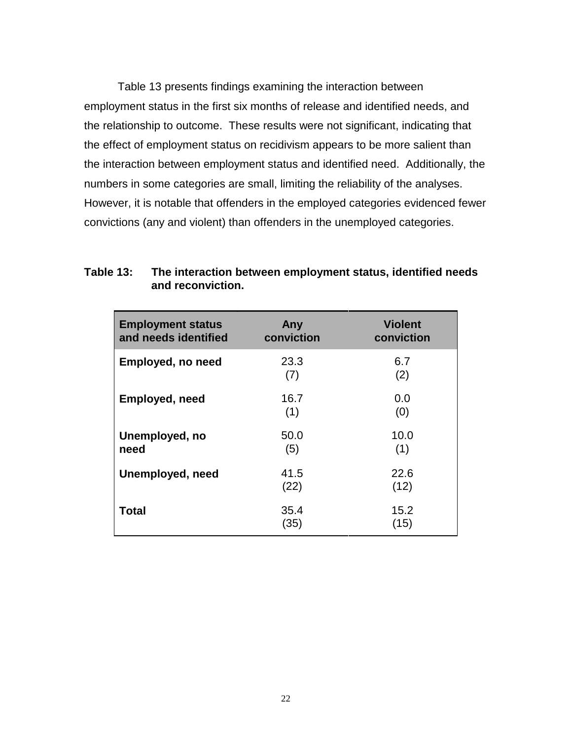Table 13 presents findings examining the interaction between employment status in the first six months of release and identified needs, and the relationship to outcome. These results were not significant, indicating that the effect of employment status on recidivism appears to be more salient than the interaction between employment status and identified need. Additionally, the numbers in some categories are small, limiting the reliability of the analyses. However, it is notable that offenders in the employed categories evidenced fewer convictions (any and violent) than offenders in the unemployed categories.

| <b>Employment status</b><br>and needs identified | Any<br>conviction | <b>Violent</b><br>conviction |
|--------------------------------------------------|-------------------|------------------------------|
| <b>Employed, no need</b>                         | 23.3<br>(7)       | 6.7<br>(2)                   |
| <b>Employed, need</b>                            | 16.7<br>(1)       | 0.0<br>(0)                   |
| Unemployed, no<br>need                           | 50.0<br>(5)       | 10.0<br>(1)                  |
| Unemployed, need                                 | 41.5<br>(22)      | 22.6<br>(12)                 |
| Total                                            | 35.4<br>(35)      | 15.2<br>(15)                 |

#### **Table 13: The interaction between employment status, identified needs and reconviction.**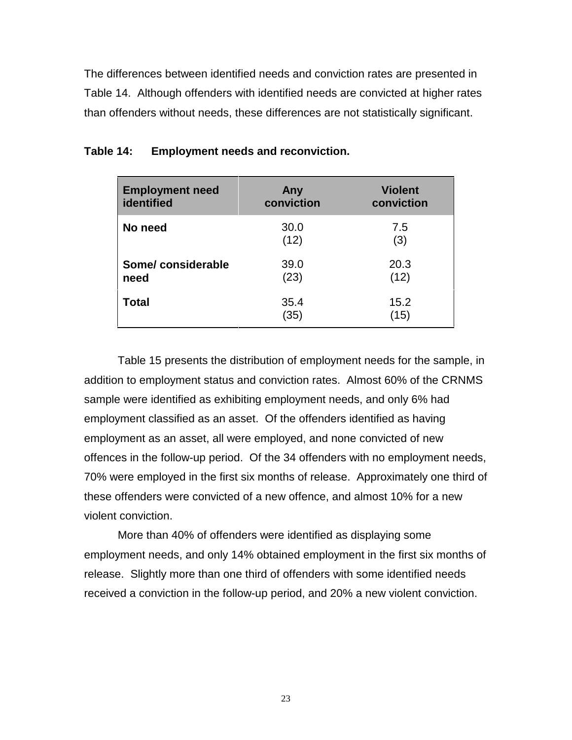The differences between identified needs and conviction rates are presented in Table 14. Although offenders with identified needs are convicted at higher rates than offenders without needs, these differences are not statistically significant.

| <b>Employment need</b> | Any          | <b>Violent</b> |
|------------------------|--------------|----------------|
| identified             | conviction   | conviction     |
| No need                | 30.0<br>(12) | 7.5<br>(3)     |
| Some/considerable      | 39.0         | 20.3           |
| need                   | (23)         | (12)           |
| <b>Total</b>           | 35.4<br>(35) | 15.2<br>(15)   |

| Table 14: |  | <b>Employment needs and reconviction.</b> |
|-----------|--|-------------------------------------------|
|           |  |                                           |

Table 15 presents the distribution of employment needs for the sample, in addition to employment status and conviction rates. Almost 60% of the CRNMS sample were identified as exhibiting employment needs, and only 6% had employment classified as an asset. Of the offenders identified as having employment as an asset, all were employed, and none convicted of new offences in the follow-up period. Of the 34 offenders with no employment needs, 70% were employed in the first six months of release. Approximately one third of these offenders were convicted of a new offence, and almost 10% for a new violent conviction.

More than 40% of offenders were identified as displaying some employment needs, and only 14% obtained employment in the first six months of release. Slightly more than one third of offenders with some identified needs received a conviction in the follow-up period, and 20% a new violent conviction.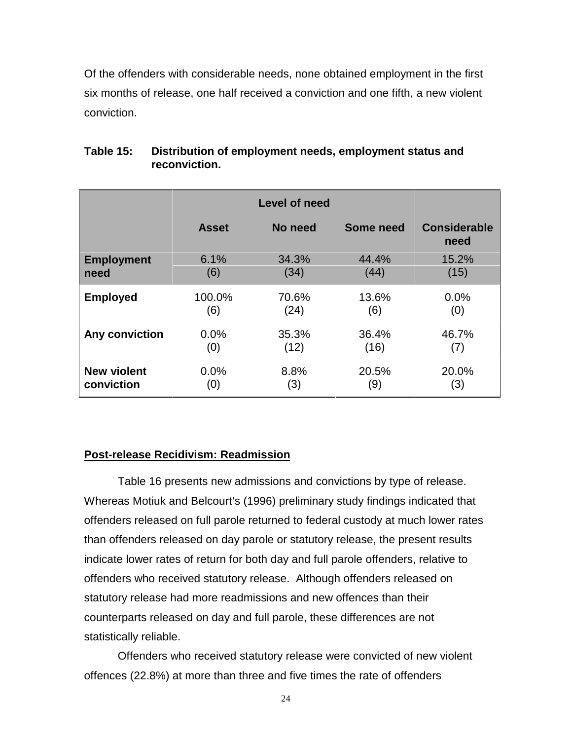Of the offenders with considerable needs, none obtained employment in the first six months of release, one half received a conviction and one fifth, a new violent conviction.

|                    |              | <b>Level of need</b> |           |                             |
|--------------------|--------------|----------------------|-----------|-----------------------------|
|                    | <b>Asset</b> | No need              | Some need | <b>Considerable</b><br>need |
| <b>Employment</b>  | 6.1%         | 34.3%                | 44.4%     | 15.2%                       |
| need               | (6)          | (34)                 | (44)      | (15)                        |
| <b>Employed</b>    | 100.0%       | 70.6%                | 13.6%     | 0.0%                        |
|                    | (6)          | (24)                 | (6)       | (0)                         |
| Any conviction     | 0.0%         | 35.3%                | 36.4%     | 46.7%                       |
|                    | (0)          | (12)                 | (16)      | (7)                         |
| <b>New violent</b> | 0.0%         | 8.8%                 | 20.5%     | 20.0%                       |
| conviction         | (0)          | (3)                  | (9)       | (3)                         |

#### **Table 15: Distribution of employment needs, employment status and reconviction.**

#### **Post-release Recidivism: Readmission**

Table 16 presents new admissions and convictions by type of release. Whereas Motiuk and Belcourt's (1996) preliminary study findings indicated that offenders released on full parole returned to federal custody at much lower rates than offenders released on day parole or statutory release, the present results indicate lower rates of return for both day and full parole offenders, relative to offenders who received statutory release. Although offenders released on statutory release had more readmissions and new offences than their counterparts released on day and full parole, these differences are not statistically reliable.

Offenders who received statutory release were convicted of new violent offences (22.8%) at more than three and five times the rate of offenders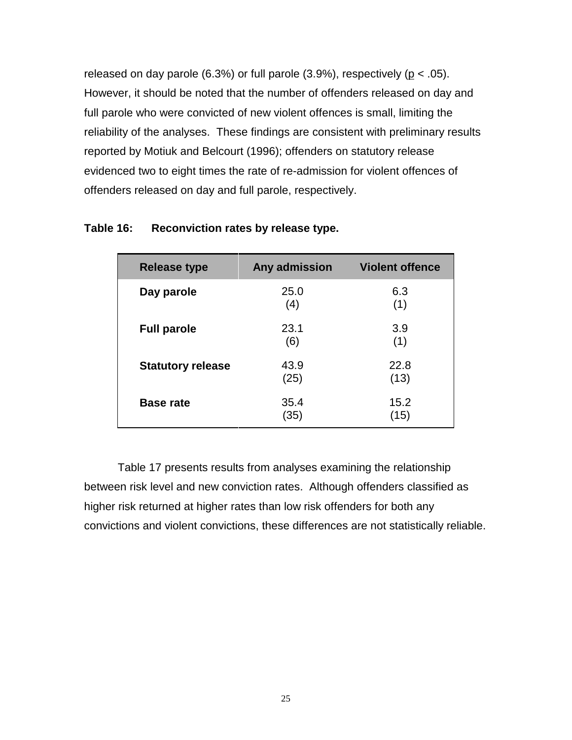released on day parole (6.3%) or full parole (3.9%), respectively ( $p < .05$ ). However, it should be noted that the number of offenders released on day and full parole who were convicted of new violent offences is small, limiting the reliability of the analyses. These findings are consistent with preliminary results reported by Motiuk and Belcourt (1996); offenders on statutory release evidenced two to eight times the rate of re-admission for violent offences of offenders released on day and full parole, respectively.

| <b>Release type</b>      | Any admission | <b>Violent offence</b> |
|--------------------------|---------------|------------------------|
| Day parole               | 25.0<br>(4)   | 6.3<br>(1)             |
| <b>Full parole</b>       | 23.1<br>(6)   | 3.9<br>(1)             |
| <b>Statutory release</b> | 43.9<br>(25)  | 22.8<br>(13)           |
| <b>Base rate</b>         | 35.4<br>(35)  | 15.2<br>(15)           |

#### **Table 16: Reconviction rates by release type.**

Table 17 presents results from analyses examining the relationship between risk level and new conviction rates. Although offenders classified as higher risk returned at higher rates than low risk offenders for both any convictions and violent convictions, these differences are not statistically reliable.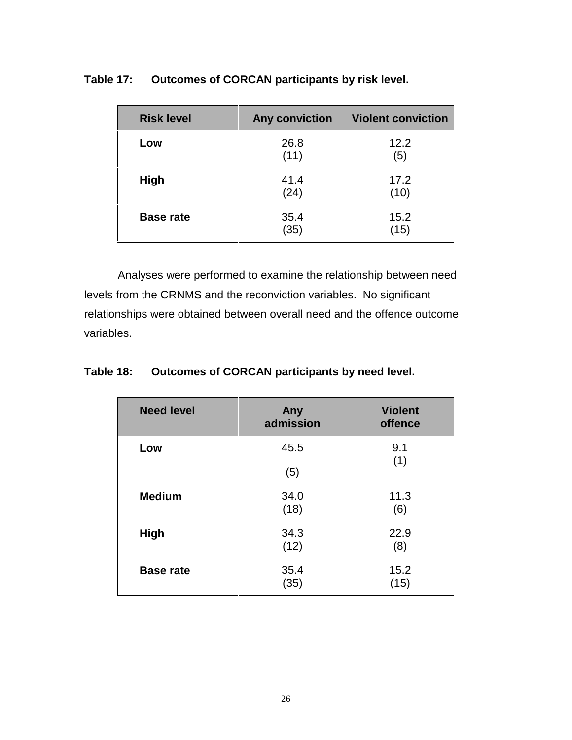| <b>Risk level</b> | <b>Any conviction</b> | <b>Violent conviction</b> |
|-------------------|-----------------------|---------------------------|
| Low               | 26.8<br>(11)          | 12.2<br>(5)               |
| <b>High</b>       | 41.4<br>(24)          | 17.2<br>(10)              |
| <b>Base rate</b>  | 35.4<br>(35)          | 15.2<br>(15)              |

**Table 17: Outcomes of CORCAN participants by risk level.**

Analyses were performed to examine the relationship between need levels from the CRNMS and the reconviction variables. No significant relationships were obtained between overall need and the offence outcome variables.

**Table 18: Outcomes of CORCAN participants by need level.**

| <b>Need level</b> | Any<br>admission | <b>Violent</b><br>offence |
|-------------------|------------------|---------------------------|
| Low               | 45.5<br>(5)      | 9.1<br>(1)                |
| <b>Medium</b>     | 34.0<br>(18)     | 11.3<br>(6)               |
| <b>High</b>       | 34.3<br>(12)     | 22.9<br>(8)               |
| <b>Base rate</b>  | 35.4<br>(35)     | 15.2<br>(15)              |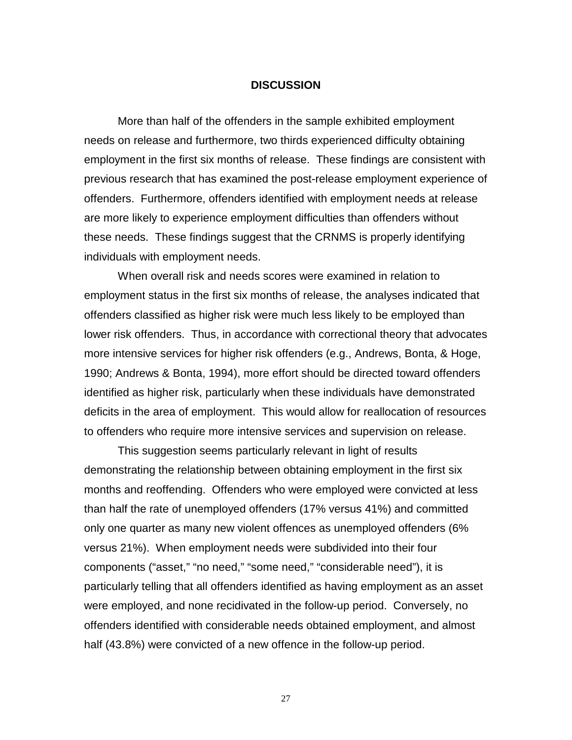#### **DISCUSSION**

More than half of the offenders in the sample exhibited employment needs on release and furthermore, two thirds experienced difficulty obtaining employment in the first six months of release. These findings are consistent with previous research that has examined the post-release employment experience of offenders. Furthermore, offenders identified with employment needs at release are more likely to experience employment difficulties than offenders without these needs. These findings suggest that the CRNMS is properly identifying individuals with employment needs.

When overall risk and needs scores were examined in relation to employment status in the first six months of release, the analyses indicated that offenders classified as higher risk were much less likely to be employed than lower risk offenders. Thus, in accordance with correctional theory that advocates more intensive services for higher risk offenders (e.g., Andrews, Bonta, & Hoge, 1990; Andrews & Bonta, 1994), more effort should be directed toward offenders identified as higher risk, particularly when these individuals have demonstrated deficits in the area of employment. This would allow for reallocation of resources to offenders who require more intensive services and supervision on release.

This suggestion seems particularly relevant in light of results demonstrating the relationship between obtaining employment in the first six months and reoffending. Offenders who were employed were convicted at less than half the rate of unemployed offenders (17% versus 41%) and committed only one quarter as many new violent offences as unemployed offenders (6% versus 21%). When employment needs were subdivided into their four components ("asset," "no need," "some need," "considerable need"), it is particularly telling that all offenders identified as having employment as an asset were employed, and none recidivated in the follow-up period. Conversely, no offenders identified with considerable needs obtained employment, and almost half (43.8%) were convicted of a new offence in the follow-up period.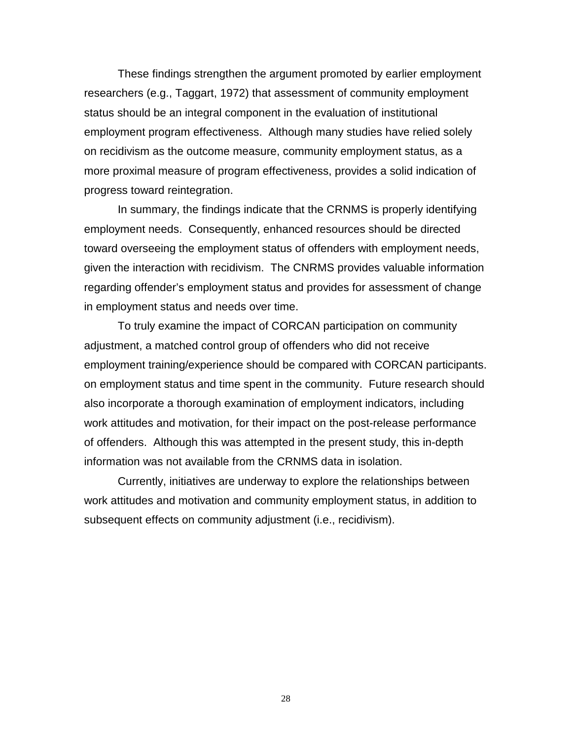These findings strengthen the argument promoted by earlier employment researchers (e.g., Taggart, 1972) that assessment of community employment status should be an integral component in the evaluation of institutional employment program effectiveness. Although many studies have relied solely on recidivism as the outcome measure, community employment status, as a more proximal measure of program effectiveness, provides a solid indication of progress toward reintegration.

In summary, the findings indicate that the CRNMS is properly identifying employment needs. Consequently, enhanced resources should be directed toward overseeing the employment status of offenders with employment needs, given the interaction with recidivism. The CNRMS provides valuable information regarding offender's employment status and provides for assessment of change in employment status and needs over time.

To truly examine the impact of CORCAN participation on community adjustment, a matched control group of offenders who did not receive employment training/experience should be compared with CORCAN participants. on employment status and time spent in the community. Future research should also incorporate a thorough examination of employment indicators, including work attitudes and motivation, for their impact on the post-release performance of offenders. Although this was attempted in the present study, this in-depth information was not available from the CRNMS data in isolation.

Currently, initiatives are underway to explore the relationships between work attitudes and motivation and community employment status, in addition to subsequent effects on community adjustment (i.e., recidivism).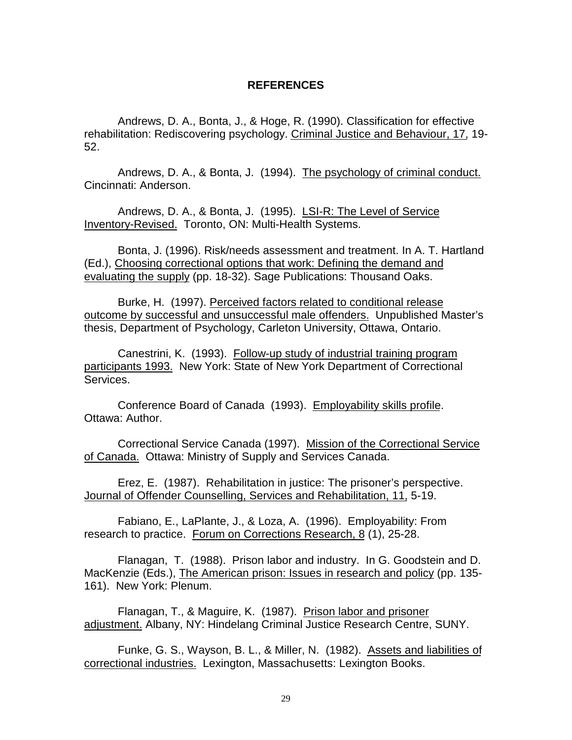#### **REFERENCES**

Andrews, D. A., Bonta, J., & Hoge, R. (1990). Classification for effective rehabilitation: Rediscovering psychology. Criminal Justice and Behaviour, 17, 19- 52.

Andrews, D. A., & Bonta, J. (1994). The psychology of criminal conduct. Cincinnati: Anderson.

Andrews, D. A., & Bonta, J. (1995). LSI-R: The Level of Service Inventory-Revised. Toronto, ON: Multi-Health Systems.

Bonta, J. (1996). Risk/needs assessment and treatment. In A. T. Hartland (Ed.), Choosing correctional options that work: Defining the demand and evaluating the supply (pp. 18-32). Sage Publications: Thousand Oaks.

Burke, H. (1997). Perceived factors related to conditional release outcome by successful and unsuccessful male offenders. Unpublished Master's thesis, Department of Psychology, Carleton University, Ottawa, Ontario.

Canestrini, K. (1993). Follow-up study of industrial training program participants 1993. New York: State of New York Department of Correctional Services.

Conference Board of Canada (1993). Employability skills profile. Ottawa: Author.

Correctional Service Canada (1997). Mission of the Correctional Service of Canada. Ottawa: Ministry of Supply and Services Canada.

Erez, E. (1987). Rehabilitation in justice: The prisoner's perspective. Journal of Offender Counselling, Services and Rehabilitation, 11, 5-19.

Fabiano, E., LaPlante, J., & Loza, A. (1996). Employability: From research to practice. Forum on Corrections Research, 8 (1), 25-28.

Flanagan, T. (1988). Prison labor and industry. In G. Goodstein and D. MacKenzie (Eds.), The American prison: Issues in research and policy (pp. 135- 161). New York: Plenum.

Flanagan, T., & Maguire, K. (1987). Prison labor and prisoner adjustment. Albany, NY: Hindelang Criminal Justice Research Centre, SUNY.

Funke, G. S., Wayson, B. L., & Miller, N. (1982). Assets and liabilities of correctional industries. Lexington, Massachusetts: Lexington Books.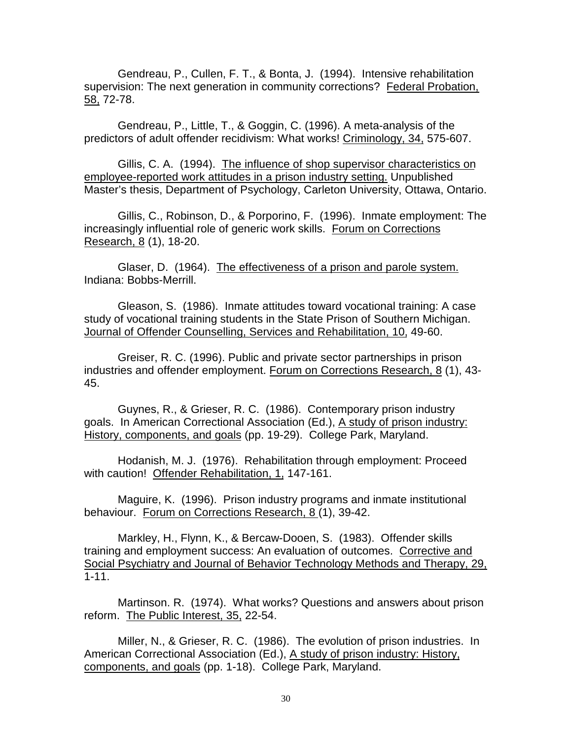Gendreau, P., Cullen, F. T., & Bonta, J. (1994). Intensive rehabilitation supervision: The next generation in community corrections? Federal Probation, 58, 72-78.

Gendreau, P., Little, T., & Goggin, C. (1996). A meta-analysis of the predictors of adult offender recidivism: What works! Criminology, 34, 575-607.

Gillis, C. A. (1994). The influence of shop supervisor characteristics on employee-reported work attitudes in a prison industry setting. Unpublished Master's thesis, Department of Psychology, Carleton University, Ottawa, Ontario.

Gillis, C., Robinson, D., & Porporino, F. (1996). Inmate employment: The increasingly influential role of generic work skills. Forum on Corrections Research, 8 (1), 18-20.

Glaser, D. (1964). The effectiveness of a prison and parole system. Indiana: Bobbs-Merrill.

Gleason, S. (1986). Inmate attitudes toward vocational training: A case study of vocational training students in the State Prison of Southern Michigan. Journal of Offender Counselling, Services and Rehabilitation, 10, 49-60.

Greiser, R. C. (1996). Public and private sector partnerships in prison industries and offender employment. Forum on Corrections Research, 8 (1), 43- 45.

Guynes, R., & Grieser, R. C. (1986). Contemporary prison industry goals. In American Correctional Association (Ed.), A study of prison industry: History, components, and goals (pp. 19-29). College Park, Maryland.

Hodanish, M. J. (1976). Rehabilitation through employment: Proceed with caution! Offender Rehabilitation, 1, 147-161.

Maguire, K. (1996). Prison industry programs and inmate institutional behaviour. Forum on Corrections Research, 8 (1), 39-42.

Markley, H., Flynn, K., & Bercaw-Dooen, S. (1983). Offender skills training and employment success: An evaluation of outcomes. Corrective and Social Psychiatry and Journal of Behavior Technology Methods and Therapy, 29, 1-11.

Martinson. R. (1974). What works? Questions and answers about prison reform. The Public Interest, 35, 22-54.

Miller, N., & Grieser, R. C. (1986). The evolution of prison industries. In American Correctional Association (Ed.), A study of prison industry: History, components, and goals (pp. 1-18). College Park, Maryland.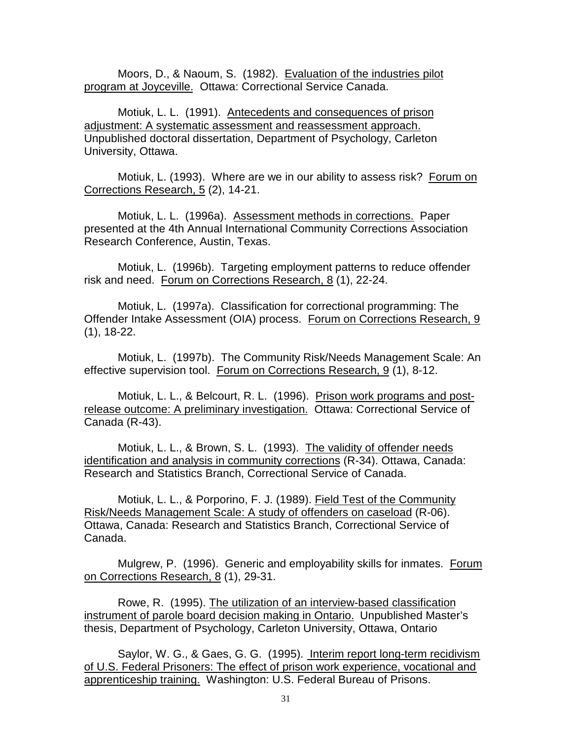Moors, D., & Naoum, S. (1982). Evaluation of the industries pilot program at Joyceville. Ottawa: Correctional Service Canada.

Motiuk, L. L. (1991). Antecedents and consequences of prison adjustment: A systematic assessment and reassessment approach. Unpublished doctoral dissertation, Department of Psychology, Carleton University, Ottawa.

Motiuk, L. (1993). Where are we in our ability to assess risk? Forum on Corrections Research, 5 (2), 14-21.

Motiuk, L. L. (1996a). Assessment methods in corrections. Paper presented at the 4th Annual International Community Corrections Association Research Conference, Austin, Texas.

Motiuk, L. (1996b). Targeting employment patterns to reduce offender risk and need. Forum on Corrections Research, 8 (1), 22-24.

Motiuk, L. (1997a). Classification for correctional programming: The Offender Intake Assessment (OIA) process. Forum on Corrections Research, 9 (1), 18-22.

Motiuk, L. (1997b). The Community Risk/Needs Management Scale: An effective supervision tool. Forum on Corrections Research, 9 (1), 8-12.

Motiuk, L. L., & Belcourt, R. L. (1996). Prison work programs and postrelease outcome: A preliminary investigation. Ottawa: Correctional Service of Canada (R-43).

Motiuk, L. L., & Brown, S. L. (1993). The validity of offender needs identification and analysis in community corrections (R-34). Ottawa, Canada: Research and Statistics Branch, Correctional Service of Canada.

Motiuk, L. L., & Porporino, F. J. (1989). Field Test of the Community Risk/Needs Management Scale: A study of offenders on caseload (R-06). Ottawa, Canada: Research and Statistics Branch, Correctional Service of Canada.

Mulgrew, P. (1996). Generic and employability skills for inmates. Forum on Corrections Research, 8 (1), 29-31.

Rowe, R. (1995). The utilization of an interview-based classification instrument of parole board decision making in Ontario. Unpublished Master's thesis, Department of Psychology, Carleton University, Ottawa, Ontario

Saylor, W. G., & Gaes, G. G. (1995). Interim report long-term recidivism of U.S. Federal Prisoners: The effect of prison work experience, vocational and apprenticeship training. Washington: U.S. Federal Bureau of Prisons.